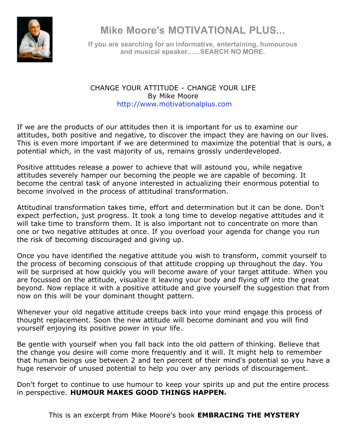

**Mike Moore's MOTIVATIONAL PLUS...**

**If you are searching for an informative, entertaining, humourous and musical speaker......SEARCH NO MORE.**

## CHANGE YOUR ATTITUDE - CHANGE YOUR LIFE By Mike Moore http://www.motivationalplus.com

If we are the products of our attitudes then it is important for us to examine our attitudes, both positive and negative, to discover the impact they are having on our lives. This is even more important if we are determined to maximize the potential that is ours, a potential which, in the vast majority of us, remains grossly underdeveloped.

Positive attitudes release a power to achieve that will astound you, while negative attitudes severely hamper our becoming the people we are capable of becoming. It become the central task of anyone interested in actualizing their enormous potential to become involved in the process of attitudinal transformation.

Attitudinal transformation takes time, effort and determination but it can be done. Don't expect perfection, just progress. It took a long time to develop negative attitudes and it will take time to transform them. It is also important not to concentrate on more than one or two negative attitudes at once. If you overload your agenda for change you run the risk of becoming discouraged and giving up.

Once you have identified the negative attitude you wish to transform, commit yourself to the process of becoming conscious of that attitude cropping up throughout the day. You will be surprised at how quickly you will become aware of your target attitude. When you are focussed on the attitude, visualize it leaving your body and flying off into the great beyond. Now replace it with a positive attitude and give yourself the suggestion that from now on this will be your dominant thought pattern.

Whenever your old negative attitude creeps back into your mind engage this process of thought replacement. Soon the new attitude will become dominant and you will find yourself enjoying its positive power in your life.

Be gentle with yourself when you fall back into the old pattern of thinking. Believe that the change you desire will come more frequently and it will. It might help to remember that human beings use between 2 and ten percent of their mind's potential so you have a huge reservoir of unused potential to help you over any periods of discouragement.

Don't forget to continue to use humour to keep your spirits up and put the entire process in perspective. **HUMOUR MAKES GOOD THINGS HAPPEN.**

This is an excerpt from Mike Moore's book **EMBRACING THE MYSTERY**